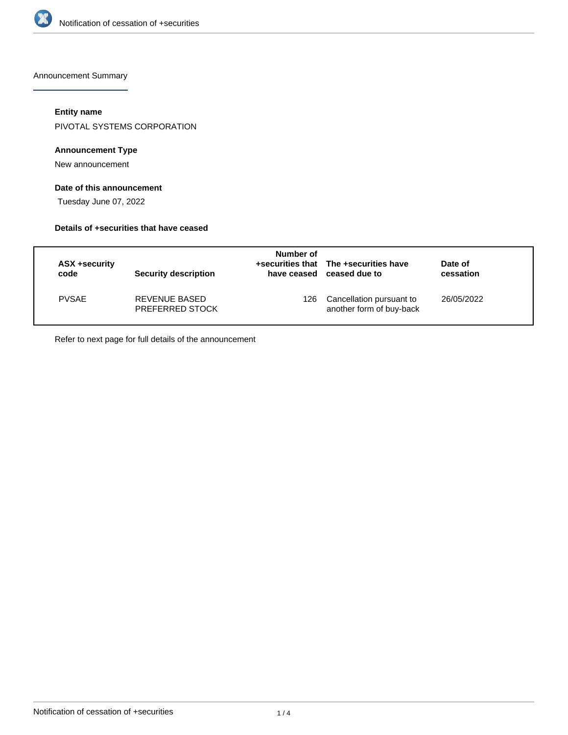

Announcement Summary

## **Entity name**

PIVOTAL SYSTEMS CORPORATION

## **Announcement Type**

New announcement

# **Date of this announcement**

Tuesday June 07, 2022

## **Details of +securities that have ceased**

| ASX +security<br>code | <b>Security description</b>             | Number of<br>have ceased | +securities that The +securities have<br>ceased due to | Date of<br>cessation |  |
|-----------------------|-----------------------------------------|--------------------------|--------------------------------------------------------|----------------------|--|
| <b>PVSAE</b>          | REVENUE BASED<br><b>PREFERRED STOCK</b> | 126.                     | Cancellation pursuant to<br>another form of buy-back   | 26/05/2022           |  |

Refer to next page for full details of the announcement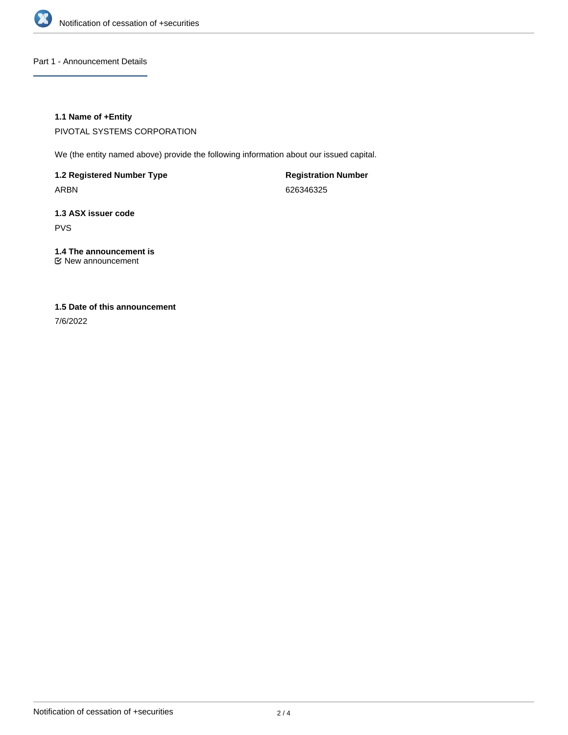

Part 1 - Announcement Details

## **1.1 Name of +Entity**

PIVOTAL SYSTEMS CORPORATION

We (the entity named above) provide the following information about our issued capital.

**1.2 Registered Number Type** ARBN

**Registration Number** 626346325

**1.3 ASX issuer code** PVS

**1.4 The announcement is** New announcement

# **1.5 Date of this announcement**

7/6/2022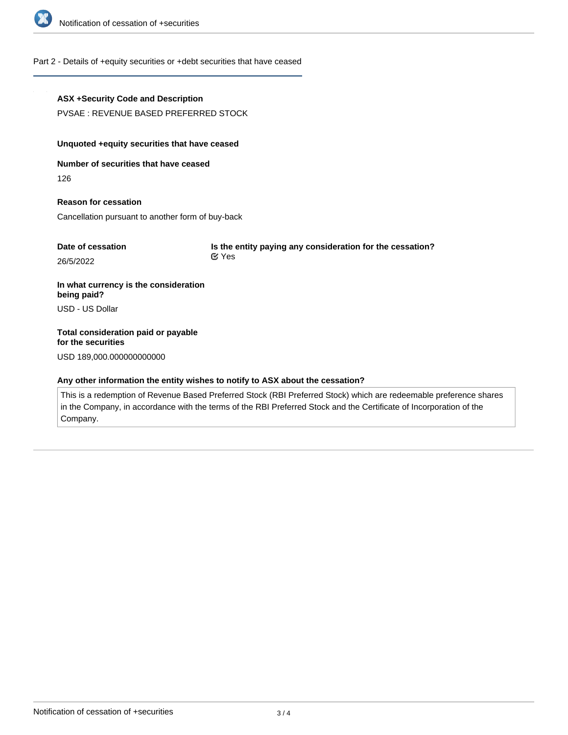

## Part 2 - Details of +equity securities or +debt securities that have ceased

# **ASX +Security Code and Description** PVSAE : REVENUE BASED PREFERRED STOCK **Unquoted +equity securities that have ceased Number of securities that have ceased** 126 **Reason for cessation** Cancellation pursuant to another form of buy-back **Date of cessation** 26/5/2022 **Is the entity paying any consideration for the cessation? In what currency is the consideration being paid?** USD - US Dollar **Total consideration paid or payable for the securities** Yes

USD 189,000.000000000000

#### **Any other information the entity wishes to notify to ASX about the cessation?**

This is a redemption of Revenue Based Preferred Stock (RBI Preferred Stock) which are redeemable preference shares in the Company, in accordance with the terms of the RBI Preferred Stock and the Certificate of Incorporation of the Company.